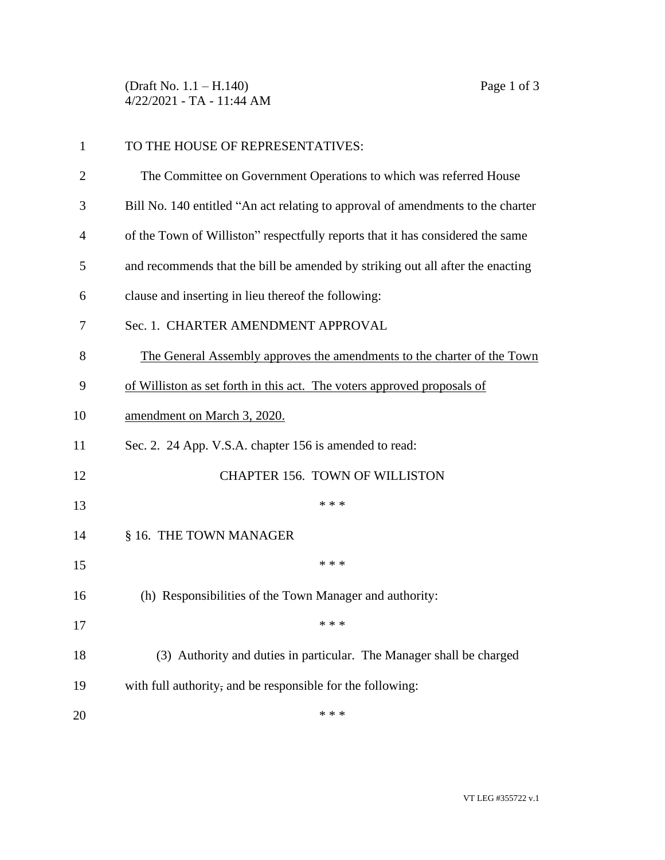(Draft No. 1.1 – H.140) Page 1 of 3 4/22/2021 - TA - 11:44 AM

| $\mathbf{1}$   | TO THE HOUSE OF REPRESENTATIVES:                                                |  |
|----------------|---------------------------------------------------------------------------------|--|
| $\overline{2}$ | The Committee on Government Operations to which was referred House              |  |
| 3              | Bill No. 140 entitled "An act relating to approval of amendments to the charter |  |
| 4              | of the Town of Williston" respectfully reports that it has considered the same  |  |
| 5              | and recommends that the bill be amended by striking out all after the enacting  |  |
| 6              | clause and inserting in lieu thereof the following:                             |  |
| 7              | Sec. 1. CHARTER AMENDMENT APPROVAL                                              |  |
| 8              | The General Assembly approves the amendments to the charter of the Town         |  |
| 9              | of Williston as set forth in this act. The voters approved proposals of         |  |
| 10             | amendment on March 3, 2020.                                                     |  |
| 11             | Sec. 2. 24 App. V.S.A. chapter 156 is amended to read:                          |  |
| 12             | <b>CHAPTER 156. TOWN OF WILLISTON</b>                                           |  |
| 13             | * * *                                                                           |  |
| 14             | § 16. THE TOWN MANAGER                                                          |  |
| 15             | * * *                                                                           |  |
| 16             | (h) Responsibilities of the Town Manager and authority:                         |  |
| 17             | * * *                                                                           |  |
| 18             | (3) Authority and duties in particular. The Manager shall be charged            |  |
| 19             | with full authority, and be responsible for the following:                      |  |
| 20             | * * *                                                                           |  |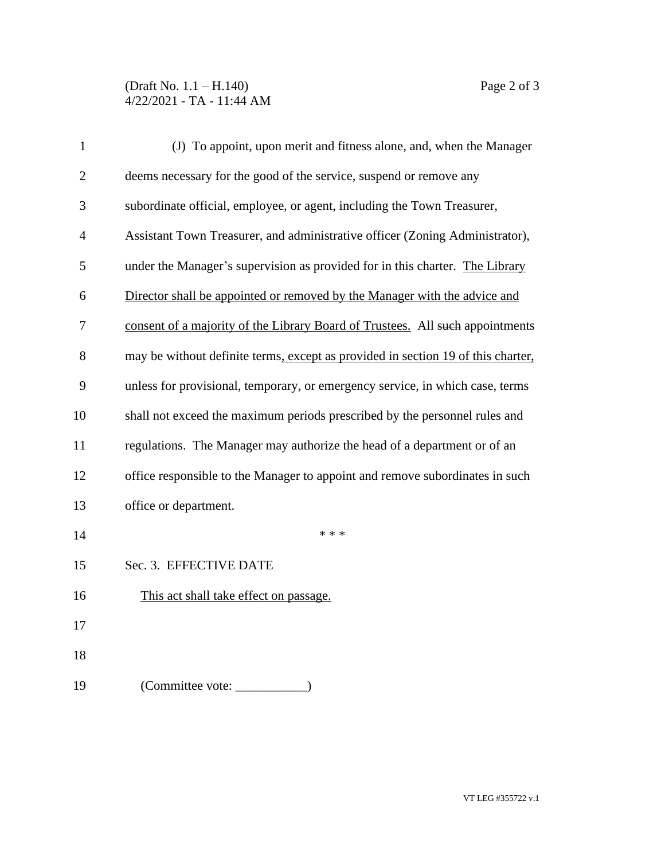## (Draft No. 1.1 – H.140) Page 2 of 3 4/22/2021 - TA - 11:44 AM

| $\mathbf{1}$   | (J) To appoint, upon merit and fitness alone, and, when the Manager              |  |  |
|----------------|----------------------------------------------------------------------------------|--|--|
| $\overline{2}$ | deems necessary for the good of the service, suspend or remove any               |  |  |
| 3              | subordinate official, employee, or agent, including the Town Treasurer,          |  |  |
| $\overline{4}$ | Assistant Town Treasurer, and administrative officer (Zoning Administrator),     |  |  |
| 5              | under the Manager's supervision as provided for in this charter. The Library     |  |  |
| 6              | Director shall be appointed or removed by the Manager with the advice and        |  |  |
| 7              | consent of a majority of the Library Board of Trustees. All such appointments    |  |  |
| 8              | may be without definite terms, except as provided in section 19 of this charter, |  |  |
| 9              | unless for provisional, temporary, or emergency service, in which case, terms    |  |  |
| 10             | shall not exceed the maximum periods prescribed by the personnel rules and       |  |  |
| 11             | regulations. The Manager may authorize the head of a department or of an         |  |  |
| 12             | office responsible to the Manager to appoint and remove subordinates in such     |  |  |
| 13             | office or department.                                                            |  |  |
| 14             | * * *                                                                            |  |  |
| 15             | Sec. 3. EFFECTIVE DATE                                                           |  |  |
| 16             | This act shall take effect on passage.                                           |  |  |
| 17             |                                                                                  |  |  |
| 18             |                                                                                  |  |  |
| 19             | (Committee vote:                                                                 |  |  |